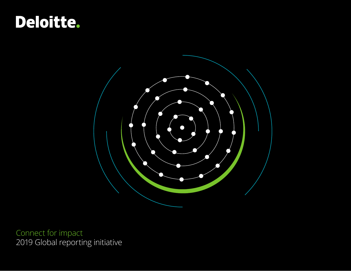



Connect for impact 2019 Global reporting initiative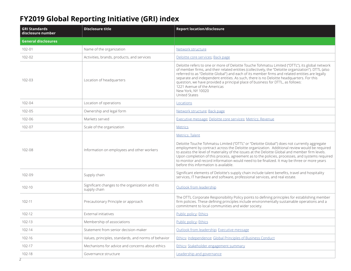## **FY2019 Global Reporting Initiative (GRI) index**

| <b>GRI Standards</b><br>disclosure number | <b>Disclosure title</b>                                         | <b>Report location/disclosure</b>                                                                                                                                                                                                                                                                                                                                                                                                                                                                                                                                   |
|-------------------------------------------|-----------------------------------------------------------------|---------------------------------------------------------------------------------------------------------------------------------------------------------------------------------------------------------------------------------------------------------------------------------------------------------------------------------------------------------------------------------------------------------------------------------------------------------------------------------------------------------------------------------------------------------------------|
| <b>General disclosures</b>                |                                                                 |                                                                                                                                                                                                                                                                                                                                                                                                                                                                                                                                                                     |
| 102-01                                    | Name of the organization                                        | Network structure                                                                                                                                                                                                                                                                                                                                                                                                                                                                                                                                                   |
| 102-02                                    | Activities, brands, products, and services                      | Deloitte core services; Back page                                                                                                                                                                                                                                                                                                                                                                                                                                                                                                                                   |
| 102-03                                    | Location of headquarters                                        | Deloitte refers to one or more of Deloitte Touche Tohmatsu Limited ("DTTL"), its global network<br>of member firms, and their related entities (collectively, the "Deloitte organization"). DTTL (also<br>referred to as "Deloitte Global") and each of its member firms and related entities are legally<br>separate and independent entities. As such, there is no Deloitte headquarters. For this<br>question, we have provided a principal place of business for DTTL, as follows:<br>1221 Avenue of the Americas<br>New York, NY 10020<br><b>United States</b> |
| 102-04                                    | Location of operations                                          | Locations                                                                                                                                                                                                                                                                                                                                                                                                                                                                                                                                                           |
| 102-05                                    | Ownership and legal form                                        | Network structure; Back page                                                                                                                                                                                                                                                                                                                                                                                                                                                                                                                                        |
| 102-06                                    | Markets served                                                  | Executive message; Deloitte core services; Metrics: Revenue                                                                                                                                                                                                                                                                                                                                                                                                                                                                                                         |
| 102-07                                    | Scale of the organization                                       | <b>Metrics</b>                                                                                                                                                                                                                                                                                                                                                                                                                                                                                                                                                      |
| 102-08                                    | Information on employees and other workers                      | Metrics: Talent<br>Deloitte Touche Tohmatsu Limited ("DTTL" or "Deloitte Global") does not currently aggregate<br>employment by contract across the Deloitte organization. Additional review would be required<br>to assess the level of materiality of the issues at the Deloitte Global and member firm levels.<br>Upon completion of this process, agreement as to the policies, processes, and systems required<br>to monitor and record information would need to be finalized. It may be three or more years<br>before this information is available.         |
| 102-09                                    | Supply chain                                                    | Significant elements of Deloitte's supply chain include talent benefits, travel and hospitality<br>services, IT hardware and software, professional services, and real estate.                                                                                                                                                                                                                                                                                                                                                                                      |
| 102-10                                    | Significant changes to the organization and its<br>supply chain | Outlook from leadership                                                                                                                                                                                                                                                                                                                                                                                                                                                                                                                                             |
| 102-11                                    | Precautionary Principle or approach                             | The DTTL Corporate Responsibility Policy points to defining principles for establishing member<br>firm policies. These defining principles include environmentally sustainable operations and a<br>commitment to local communities and wider society.                                                                                                                                                                                                                                                                                                               |
| 102-12                                    | External initiatives                                            | Public policy; Ethics                                                                                                                                                                                                                                                                                                                                                                                                                                                                                                                                               |
| 102-13                                    | Membership of associations                                      | Public policy; Ethics                                                                                                                                                                                                                                                                                                                                                                                                                                                                                                                                               |
| 102-14                                    | Statement from senior decision-maker                            | Outlook from leadership, Executive message                                                                                                                                                                                                                                                                                                                                                                                                                                                                                                                          |
| 102-16                                    | Values, principles, standards, and norms of behavior            | Ethics, Independence, Global Principles of Business Conduct                                                                                                                                                                                                                                                                                                                                                                                                                                                                                                         |
| 102-17                                    | Mechanisms for advice and concerns about ethics                 | Ethics; Stakeholder engagement summary                                                                                                                                                                                                                                                                                                                                                                                                                                                                                                                              |
| 102-18                                    | Governance structure                                            | <b>Leadership and governance</b>                                                                                                                                                                                                                                                                                                                                                                                                                                                                                                                                    |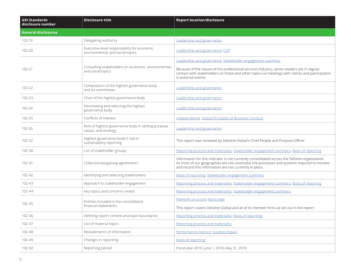| <b>GRI Standards</b><br>disclosure number | <b>Disclosure title</b>                                                          | <b>Report location/disclosure</b>                                                                                                                                                                                                                                                 |
|-------------------------------------------|----------------------------------------------------------------------------------|-----------------------------------------------------------------------------------------------------------------------------------------------------------------------------------------------------------------------------------------------------------------------------------|
| <b>General disclosures</b>                |                                                                                  |                                                                                                                                                                                                                                                                                   |
| 102-19                                    | Delegating authority                                                             | Leadership and governance                                                                                                                                                                                                                                                         |
| 102-20                                    | Executive-level responsibility for economic,<br>environmental, and social topics | Leadership and governance; CDP                                                                                                                                                                                                                                                    |
| 102-21                                    | Consulting stakeholders on economic, environmental,<br>and social topics         | Leadership and governance; Stakeholder engagement summary<br>Because of the nature of the professional services industry, senior leaders are in regular<br>contact with stakeholders on these and other topics via meetings with clients and participation<br>in external events. |
| 102-22                                    | Composition of the highest governance body<br>and its committees                 | Leadership and governance                                                                                                                                                                                                                                                         |
| 102-23                                    | Chair of the highest governance body                                             | Leadership and governance                                                                                                                                                                                                                                                         |
| 102-24                                    | Nominating and selecting the highest<br>governance body                          | Leadership and governance                                                                                                                                                                                                                                                         |
| 102-25                                    | Conflicts of interest                                                            | Independence, Global Principles of Business Conduct                                                                                                                                                                                                                               |
| 102-26                                    | Role of highest governance body in setting purpose,<br>values, and strategy      | Leadership and governance                                                                                                                                                                                                                                                         |
| 102-32                                    | Highest governance body's role in<br>sustainability reporting                    | This report was reviewed by Deloitte Global's Chief People and Purpose Officer.                                                                                                                                                                                                   |
| 102-40                                    | List of stakeholder groups                                                       | Reporting process and materiality; Stakeholder engagement summary; Basis of reporting                                                                                                                                                                                             |
| 102-41                                    | Collective bargaining agreements                                                 | Information for this indicator is not currently consolidated across the Deloitte organization.<br>As most of our geographies are not unionized, the processes and systems required to monitor<br>and record this information are not currently in place.                          |
| 102-42                                    | Identifying and selecting stakeholders                                           | Basis of reporting, Stakeholder engagement summary                                                                                                                                                                                                                                |
| 102-43                                    | Approach to stakeholder engagement                                               | Reporting process and materiality; Stakeholder engagement summary; Basis of reporting                                                                                                                                                                                             |
| 102-44                                    | Key topics and concerns raised                                                   | Reporting process and materiality; Stakeholder engagement summary;                                                                                                                                                                                                                |
| 102-45                                    | Entities included in the consolidated<br>financial statements                    | Network structure; Back page<br>This report covers Deloitte Global and all of its member firms as set out in the report.                                                                                                                                                          |
| 102-46                                    | Defining report content and topic boundaries                                     | Reporting process and materiality; Basis of reporting                                                                                                                                                                                                                             |
| 102-47                                    | List of material topics                                                          | Reporting process and materiality                                                                                                                                                                                                                                                 |
| 102-48                                    | Restatements of information                                                      | Performance metrics; Societal Impact                                                                                                                                                                                                                                              |
| 102-49                                    | Changes in reporting                                                             | <b>Basis of reporting</b>                                                                                                                                                                                                                                                         |
| 102-50                                    | Reporting period                                                                 | Fiscal year 2019: June 1, 2018-May 31, 2019                                                                                                                                                                                                                                       |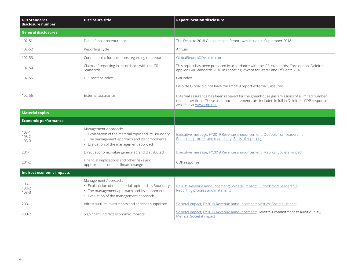| <b>GRI Standards</b><br>disclosure number | <b>Disclosure title</b>                                                                                                                                                 | <b>Report location/disclosure</b>                                                                                                                                                                                     |
|-------------------------------------------|-------------------------------------------------------------------------------------------------------------------------------------------------------------------------|-----------------------------------------------------------------------------------------------------------------------------------------------------------------------------------------------------------------------|
| <b>General disclosures</b>                |                                                                                                                                                                         |                                                                                                                                                                                                                       |
| 102-51                                    | Date of most recent report                                                                                                                                              | The Deloitte 2018 Global Impact Report was issued in September 2018.                                                                                                                                                  |
| 102-52                                    | Reporting cycle                                                                                                                                                         | Annual                                                                                                                                                                                                                |
| 102-53                                    | Contact point for questions regarding the report                                                                                                                        | GlobalReport@Deloitte.com                                                                                                                                                                                             |
| 102-54                                    | Claims of reporting in accordance with the GRI<br><b>Standards</b>                                                                                                      | This report has been prepared in accordance with the GRI standards: Core option. Deloitte<br>applied GRI Standards 2016 in reporting, except for Water and Effluents 2018.                                            |
| $102 - 55$                                | GRI content index                                                                                                                                                       | <b>GRI Index</b>                                                                                                                                                                                                      |
|                                           |                                                                                                                                                                         | Deloitte Global did not have the FY2019 report externally assured.                                                                                                                                                    |
| 102-56                                    | External assurance                                                                                                                                                      | External assurance has been received for the greenhouse gas emissions of a limited number<br>of member firms. These assurance statements are included in full in Deloitte's CDP response<br>available at www.cdp.net. |
| <b>Material topics</b>                    |                                                                                                                                                                         |                                                                                                                                                                                                                       |
| <b>Economic performance</b>               |                                                                                                                                                                         |                                                                                                                                                                                                                       |
| $103-1$<br>$103 - 2$<br>$103 - 3$         | Management Approach:<br>· Explanation of the material topic and its Boundary<br>• The management approach and its components<br>• Evaluation of the management approach | Executive message, FY2019 Revenue announcement; Outlook from leadership;<br>Reporting process and materiality, Basis of reporting                                                                                     |
| $201-1$                                   | Direct economic value generated and distributed                                                                                                                         | Executive message; FY2019 Revenue announcement; Metrics: Societal impact                                                                                                                                              |
| $201 - 2$                                 | Financial implications and other risks and<br>opportunities due to climate change                                                                                       | CDP response                                                                                                                                                                                                          |
| <b>Indirect economic impacts</b>          |                                                                                                                                                                         |                                                                                                                                                                                                                       |
| $103-1$<br>$103 - 2$<br>$103 - 3$         | Management Approach:<br>• Explanation of the material topic and its Boundary<br>· The management approach and its components<br>· Evaluation of the management approach | FY2019 Revenue announcement; Societal Impact; Outlook from leadership;<br>Reporting process and materiality                                                                                                           |
| $203-1$                                   | Infrastructure investments and services supported                                                                                                                       | Societal Impact, FY2019 Revenue announcement; Metrics: Societal impact                                                                                                                                                |
| $203 - 2$                                 | Significant indirect economic impacts                                                                                                                                   | Societal Impact; FY2019 Revenue announcement; Deloitte's commitment to audit quality;<br><b>Metrics: Societal impact</b>                                                                                              |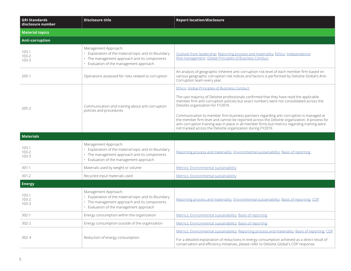| <b>GRI Standards</b><br>disclosure number | <b>Disclosure title</b>                                                                                                                                                 | <b>Report location/disclosure</b>                                                                                                                                                                                                                                                                                                                      |
|-------------------------------------------|-------------------------------------------------------------------------------------------------------------------------------------------------------------------------|--------------------------------------------------------------------------------------------------------------------------------------------------------------------------------------------------------------------------------------------------------------------------------------------------------------------------------------------------------|
| <b>Material topics</b>                    |                                                                                                                                                                         |                                                                                                                                                                                                                                                                                                                                                        |
| <b>Anti-corruption</b>                    |                                                                                                                                                                         |                                                                                                                                                                                                                                                                                                                                                        |
| $103-1$<br>$103 - 2$<br>$103 - 3$         | Management Approach:<br>• Explanation of the material topic and its Boundary<br>• The management approach and its components<br>• Evaluation of the management approach | Outlook from leadership; Reporting process and materiality; Ethics; Independence;<br>Risk management, Global Principles of Business Conduct                                                                                                                                                                                                            |
| $205-1$                                   | Operations assessed for risks related to corruption                                                                                                                     | An analysis of geographic inherent anti-corruption risk level of each member firm based on<br>various geographic corruption risk indices and factors is performed by Deloitte Global's Anti-<br>Corruption team every year.                                                                                                                            |
|                                           |                                                                                                                                                                         | Ethics; Global Principles of Business Conduct                                                                                                                                                                                                                                                                                                          |
| $205 - 2$                                 | Communication and training about anti-corruption<br>policies and procedures                                                                                             | The vast majority of Deloitte professionals confirmed that they have read the applicable<br>member firm anti-corruption policies but exact numbers were not consolidated across the<br>Deloitte organization for FY2019.                                                                                                                               |
|                                           |                                                                                                                                                                         | Communication to member firm business partners regarding anti-corruption is managed at<br>the member firm level and cannot be reported across the Deloitte organization. A process for<br>anti-corruption training was in place in all member firms but metrics regarding training were<br>not tracked across the Deloitte organization during FY2019. |
| <b>Materials</b>                          |                                                                                                                                                                         |                                                                                                                                                                                                                                                                                                                                                        |
| $103 - 1$<br>$103 - 2$<br>$103 - 3$       | Management Approach:<br>• Explanation of the material topic and its Boundary<br>• The management approach and its components<br>• Evaluation of the management approach | Reporting process and materiality; Environmental sustainability; Basis of reporting                                                                                                                                                                                                                                                                    |
| $301-1$                                   | Materials used by weight or volume                                                                                                                                      | Metrics: Environmental sustainability                                                                                                                                                                                                                                                                                                                  |
| $301 - 2$                                 | Recycled input materials used                                                                                                                                           | Metrics: Environmental sustainability                                                                                                                                                                                                                                                                                                                  |
| <b>Energy</b>                             |                                                                                                                                                                         |                                                                                                                                                                                                                                                                                                                                                        |
| $103-1$<br>$103 - 2$<br>$103 - 3$         | Management Approach:<br>• Explanation of the material topic and its Boundary<br>• The management approach and its components<br>• Evaluation of the management approach | Reporting process and materiality, Environmental sustainability, Basis of reporting; CDP                                                                                                                                                                                                                                                               |
| $302-1$                                   | Energy consumption within the organization                                                                                                                              | Metrics: Environmental sustainability; Basis of reporting                                                                                                                                                                                                                                                                                              |
| $302 - 2$                                 | Energy consumption outside of the organization                                                                                                                          | Metrics: Environmental sustainability; Basis of reporting                                                                                                                                                                                                                                                                                              |
| $302 - 4$                                 | Reduction of energy consumption                                                                                                                                         | Metrics: Environmental sustainability; Reporting process and materiality; Basis of reporting; CDP                                                                                                                                                                                                                                                      |
|                                           |                                                                                                                                                                         | For a detailed explanation of reductions in energy consumption achieved as a direct result of<br>conservation and efficiency initiatives, please refer to Deloitte Global's CDP response.                                                                                                                                                              |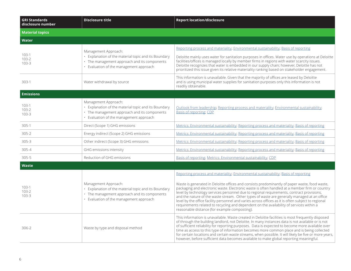| <b>GRI Standards</b><br>disclosure number | <b>Disclosure title</b>                                                                                                                                                 | <b>Report location/disclosure</b>                                                                                                                                                                                                                                                                                                                                                                                                                                                                                                                                                                                                              |
|-------------------------------------------|-------------------------------------------------------------------------------------------------------------------------------------------------------------------------|------------------------------------------------------------------------------------------------------------------------------------------------------------------------------------------------------------------------------------------------------------------------------------------------------------------------------------------------------------------------------------------------------------------------------------------------------------------------------------------------------------------------------------------------------------------------------------------------------------------------------------------------|
| <b>Material topics</b>                    |                                                                                                                                                                         |                                                                                                                                                                                                                                                                                                                                                                                                                                                                                                                                                                                                                                                |
| <b>Water</b>                              |                                                                                                                                                                         |                                                                                                                                                                                                                                                                                                                                                                                                                                                                                                                                                                                                                                                |
|                                           | Management Approach:                                                                                                                                                    | Reporting process and materiality; Environmental sustainability; Basis of reporting                                                                                                                                                                                                                                                                                                                                                                                                                                                                                                                                                            |
| $103 - 1$<br>$103 - 2$<br>$103 - 3$       | • Explanation of the material topic and its Boundary<br>• The management approach and its components<br>• Evaluation of the management approach                         | Deloitte mainly uses water for sanitation purposes in offices. Water use by operations at Deloitte<br>facilities/offices is managed locally by member firms in regions with water scarcity issues.<br>Deloitte recognizes that water is embedded in our supply chain; however, Deloitte has not<br>prioritized this issue given its relative materiality ranking based on stakeholder engagement.                                                                                                                                                                                                                                              |
| $303-1$                                   | Water withdrawal by source                                                                                                                                              | This information is unavailable. Given that the majority of offices are leased by Deloitte<br>and is using municipal water supplies for sanitation purposes only this information is not<br>readily obtainable.                                                                                                                                                                                                                                                                                                                                                                                                                                |
| <b>Emissions</b>                          |                                                                                                                                                                         |                                                                                                                                                                                                                                                                                                                                                                                                                                                                                                                                                                                                                                                |
| $103 - 1$<br>$103 - 2$<br>$103 - 3$       | Management Approach:<br>• Explanation of the material topic and its Boundary<br>• The management approach and its components<br>• Evaluation of the management approach | Outlook from leadership; Reporting process and materiality; Environmental sustainability;<br>Basis of reporting; CDP                                                                                                                                                                                                                                                                                                                                                                                                                                                                                                                           |
| $305-1$                                   | Direct (Scope 1) GHG emissions                                                                                                                                          | Metrics: Environmental sustainability; Reporting process and materiality; Basis of reporting                                                                                                                                                                                                                                                                                                                                                                                                                                                                                                                                                   |
| $305 - 2$                                 | Energy indirect (Scope 2) GHG emissions                                                                                                                                 | Metrics: Environmental sustainability; Reporting process and materiality; Basis of reporting                                                                                                                                                                                                                                                                                                                                                                                                                                                                                                                                                   |
| $305 - 3$                                 | Other indirect (Scope 3) GHG emissions                                                                                                                                  | Metrics: Environmental sustainability; Reporting process and materiality; Basis of reporting                                                                                                                                                                                                                                                                                                                                                                                                                                                                                                                                                   |
| $305 - 4$                                 | GHG emissions intensity                                                                                                                                                 | Metrics: Environmental sustainability; Reporting process and materiality; Basis of reporting                                                                                                                                                                                                                                                                                                                                                                                                                                                                                                                                                   |
| $305 - 5$                                 | Reduction of GHG emissions                                                                                                                                              | Basis of reporting; Metrics: Environmental sustainability; CDP                                                                                                                                                                                                                                                                                                                                                                                                                                                                                                                                                                                 |
| Waste                                     |                                                                                                                                                                         |                                                                                                                                                                                                                                                                                                                                                                                                                                                                                                                                                                                                                                                |
|                                           |                                                                                                                                                                         | Reporting process and materiality; Environmental sustainability; Basis of reporting                                                                                                                                                                                                                                                                                                                                                                                                                                                                                                                                                            |
| $103-1$<br>$103 - 2$<br>$103 - 3$         | Management Approach:<br>• Explanation of the material topic and its Boundary<br>• The management approach and its components<br>• Evaluation of the management approach | Waste is generated in Deloitte offices and consists predominantly of paper waste, food waste,<br>packaging and electronic waste. Electronic waste is often handled at a member firm or country<br>level by technology services personnel due to regional requirements, contract provisions,<br>and the nature of the waste stream. Other types of waste are generally managed at an office<br>level by the office facility personnel and varies across offices as it is often subject to regional<br>requirements related to recycling and dependent on the availability of services within a<br>reasonable distance (for example composting). |
| $306 - 2$                                 | Waste by type and disposal method                                                                                                                                       | This information is unavailable. Waste created in Deloitte facilities is most frequently disposed<br>of through the building landlord, not Deloitte. In many instances data is not available or is not<br>of sufficient reliability for reporting purposes. Data is expected to become more available over<br>time as access to this type of information becomes more common place and is being collected<br>for certain locations and certain waste streams, when possible. It will likely be five or more years,<br>however, before sufficient data becomes available to make global reporting meaningful.                                   |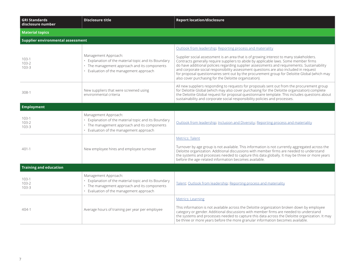| <b>GRI Standards</b><br>disclosure number | <b>Disclosure title</b>                                                                                                                                                 | <b>Report location/disclosure</b>                                                                                                                                                                                                                                                                                                                                                                                                                                                                                                                                                              |
|-------------------------------------------|-------------------------------------------------------------------------------------------------------------------------------------------------------------------------|------------------------------------------------------------------------------------------------------------------------------------------------------------------------------------------------------------------------------------------------------------------------------------------------------------------------------------------------------------------------------------------------------------------------------------------------------------------------------------------------------------------------------------------------------------------------------------------------|
| <b>Material topics</b>                    |                                                                                                                                                                         |                                                                                                                                                                                                                                                                                                                                                                                                                                                                                                                                                                                                |
| <b>Supplier environmental assessment</b>  |                                                                                                                                                                         |                                                                                                                                                                                                                                                                                                                                                                                                                                                                                                                                                                                                |
| $103-1$<br>$103 - 2$<br>$103 - 3$         | Management Approach:<br>· Explanation of the material topic and its Boundary<br>· The management approach and its components<br>• Evaluation of the management approach | Outlook from leadership, Reporting process and materiality<br>Supplier social assessment is an area that is of growing interest to many stakeholders.<br>Contracts generally require suppliers to abide by applicable laws. Some member firms<br>do have additional policies regarding supplier assessments and requirements. Sustainability<br>and corporate social responsibility assessment questions are also included in request<br>for proposal questionnaires sent out by the procurement group for Deloitte Global (which may<br>also cover purchasing for the Deloitte organization). |
| 308-1                                     | New suppliers that were screened using<br>environmental criteria                                                                                                        | All new suppliers responding to requests for proposals sent out from the procurement group<br>for Deloitte Global (which may also cover purchasing for the Deloitte organization) complete<br>the Deloitte Global request for proposal questionnaire template. This includes questions about<br>sustainability and corporate social responsibility policies and processes.                                                                                                                                                                                                                     |
| <b>Employment</b>                         |                                                                                                                                                                         |                                                                                                                                                                                                                                                                                                                                                                                                                                                                                                                                                                                                |
| $103-1$<br>$103 - 2$<br>$103 - 3$         | Management Approach:<br>• Explanation of the material topic and its Boundary<br>· The management approach and its components<br>· Evaluation of the management approach | Outlook from leadership; Inclusion and Diversity; Reporting process and materiality                                                                                                                                                                                                                                                                                                                                                                                                                                                                                                            |
| $401-1$                                   | New employee hires and employee turnover                                                                                                                                | <b>Metrics: Talent</b><br>Turnover by age group is not available. This information is not currently aggregated across the<br>Deloitte organization. Additional discussions with member firms are needed to understand<br>the systems and processes needed to capture this data globally. It may be three or more years<br>before the age-related information becomes available.                                                                                                                                                                                                                |
| <b>Training and education</b>             |                                                                                                                                                                         |                                                                                                                                                                                                                                                                                                                                                                                                                                                                                                                                                                                                |
| $103 - 1$<br>$103 - 2$<br>$103 - 3$       | Management Approach:<br>· Explanation of the material topic and its Boundary<br>· The management approach and its components<br>· Evaluation of the management approach | Talent; Outlook from leadership; Reporting process and materiality                                                                                                                                                                                                                                                                                                                                                                                                                                                                                                                             |
| $404-1$                                   | Average hours of training per year per employee                                                                                                                         | <b>Metrics: Learning</b><br>This information is not available across the Deloitte organization broken down by employee<br>category or gender. Additional discussions with member firms are needed to understand<br>the systems and processes needed to capture this data across the Deloitte organization. It may<br>be three or more years before the more granular information becomes available.                                                                                                                                                                                            |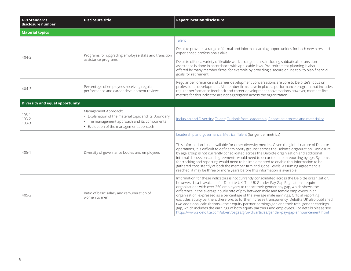| <b>GRI Standards</b><br>disclosure number | <b>Disclosure title</b>                                                                                                                                                 | <b>Report location/disclosure</b>                                                                                                                                                                                                                                                                                                                                                                                                                                                                                                                                                                                                                                                                                                                                                                                                                                       |
|-------------------------------------------|-------------------------------------------------------------------------------------------------------------------------------------------------------------------------|-------------------------------------------------------------------------------------------------------------------------------------------------------------------------------------------------------------------------------------------------------------------------------------------------------------------------------------------------------------------------------------------------------------------------------------------------------------------------------------------------------------------------------------------------------------------------------------------------------------------------------------------------------------------------------------------------------------------------------------------------------------------------------------------------------------------------------------------------------------------------|
| <b>Material topics</b>                    |                                                                                                                                                                         |                                                                                                                                                                                                                                                                                                                                                                                                                                                                                                                                                                                                                                                                                                                                                                                                                                                                         |
| $404-2$                                   | Programs for upgrading employee skills and transition<br>assistance programs                                                                                            | Talent                                                                                                                                                                                                                                                                                                                                                                                                                                                                                                                                                                                                                                                                                                                                                                                                                                                                  |
|                                           |                                                                                                                                                                         | Deloitte provides a range of formal and informal learning opportunities for both new hires and<br>experienced professionals alike.                                                                                                                                                                                                                                                                                                                                                                                                                                                                                                                                                                                                                                                                                                                                      |
|                                           |                                                                                                                                                                         | Deloitte offers a variety of flexible work arrangements, including sabbaticals; transition<br>assistance is done in accordance with applicable laws. Pre-retirement planning is also<br>offered by many member firms, for example by providing a secure online tool to plan financial<br>goals for retirement.                                                                                                                                                                                                                                                                                                                                                                                                                                                                                                                                                          |
| $404 - 3$                                 | Percentage of employees receiving regular<br>performance and career development reviews                                                                                 | Regular performance and career development conversations are core to Deloitte's focus on<br>professional development. All member firms have in place a performance program that includes<br>regular performance feedback and career development conversations however, member firm<br>metrics for this indicator are not aggregated across the organization.                                                                                                                                                                                                                                                                                                                                                                                                                                                                                                            |
| <b>Diversity and equal opportunity</b>    |                                                                                                                                                                         |                                                                                                                                                                                                                                                                                                                                                                                                                                                                                                                                                                                                                                                                                                                                                                                                                                                                         |
| $103-1$<br>$103 - 2$<br>$103 - 3$         | Management Approach:<br>· Explanation of the material topic and its Boundary<br>• The management approach and its components<br>· Evaluation of the management approach | Inclusion and Diversity; Talent; Outlook from leadership; Reporting process and materiality                                                                                                                                                                                                                                                                                                                                                                                                                                                                                                                                                                                                                                                                                                                                                                             |
|                                           |                                                                                                                                                                         | Leadership and governance; Metrics: Talent (for gender metrics)                                                                                                                                                                                                                                                                                                                                                                                                                                                                                                                                                                                                                                                                                                                                                                                                         |
| $405 - 1$                                 | Diversity of governance bodies and employees                                                                                                                            | This information is not available for other diversity metrics. Given the global nature of Deloitte<br>operations, it is difficult to define "minority groups" across the Deloitte organization. Disclosure<br>by age group is not currently consolidated across the Deloitte organization and additional<br>internal discussions and agreements would need to occur to enable reporting by age. Systems<br>for tracking and reporting would need to be implemented to enable this information to be<br>gathered consistently at both the member firm and global levels. Assuming agreement is<br>reached, it may be three or more years before this information is available.                                                                                                                                                                                           |
| $405 - 2$                                 | Ratio of basic salary and remuneration of<br>women to men                                                                                                               | Information for these indicators is not currently consolidated across the Deloitte organization;<br>however, data is available for Deloitte UK. The UK Gender Pay Gap Regulations require<br>organizations with over 250 employees to report their gender pay gap, which shows the<br>difference in the average hourly rate of pay between male and female employees in an<br>organization, expressed as a percentage of the average male earnings. Official reporting<br>excludes equity partners therefore, to further increase transparency, Deloitte UK also published<br>two additional calculations-their equity partner earnings gap and their total gender earnings<br>gap, which includes the earnings of both equity partners and employees. For details please see<br>https://www2.deloitte.com/uk/en/pages/growth/articles/gender-pay-gap-announcement.html |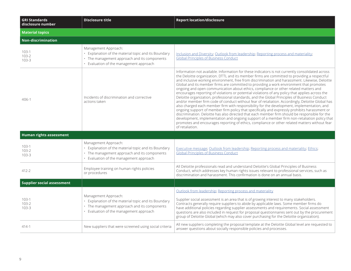| <b>GRI Standards</b><br>disclosure number | <b>Disclosure title</b>                                                                                                                                                 | <b>Report location/disclosure</b>                                                                                                                                                                                                                                                                                                                                                                                                                                                                                                                                                                                                                                                                                                                                                                                                                                                                                                                                                                                                                                                                                                                                                                                                                                                                                  |
|-------------------------------------------|-------------------------------------------------------------------------------------------------------------------------------------------------------------------------|--------------------------------------------------------------------------------------------------------------------------------------------------------------------------------------------------------------------------------------------------------------------------------------------------------------------------------------------------------------------------------------------------------------------------------------------------------------------------------------------------------------------------------------------------------------------------------------------------------------------------------------------------------------------------------------------------------------------------------------------------------------------------------------------------------------------------------------------------------------------------------------------------------------------------------------------------------------------------------------------------------------------------------------------------------------------------------------------------------------------------------------------------------------------------------------------------------------------------------------------------------------------------------------------------------------------|
| <b>Material topics</b>                    |                                                                                                                                                                         |                                                                                                                                                                                                                                                                                                                                                                                                                                                                                                                                                                                                                                                                                                                                                                                                                                                                                                                                                                                                                                                                                                                                                                                                                                                                                                                    |
| <b>Non-discrimination</b>                 |                                                                                                                                                                         |                                                                                                                                                                                                                                                                                                                                                                                                                                                                                                                                                                                                                                                                                                                                                                                                                                                                                                                                                                                                                                                                                                                                                                                                                                                                                                                    |
| $103-1$<br>$103 - 2$<br>$103 - 3$         | Management Approach:<br>· Explanation of the material topic and its Boundary<br>· The management approach and its components<br>• Evaluation of the management approach | Inclusion and Diversity; Outlook from leadership; Reporting process and materiality;<br><b>Global Principles of Business Conduct</b>                                                                                                                                                                                                                                                                                                                                                                                                                                                                                                                                                                                                                                                                                                                                                                                                                                                                                                                                                                                                                                                                                                                                                                               |
| $406-1$                                   | Incidents of discrimination and corrective<br>actions taken                                                                                                             | Information not available. Information for these indicators is not currently consolidated across<br>the Deloitte organization. DTTL and its member firms are committed to providing a respectful<br>and inclusive working environment, free from discrimination and harassment. Likewise, Deloitte<br>Global and its member firms are committed to providing a work environment that promotes<br>ongoing and open communication about ethics, compliance or other related matters and<br>encourages reporting of violations or potential violations of any policy that applies across the<br>Deloitte organization, professional standards, and the Global Principles of Business Conduct<br>and/or member firm code of conduct without fear of retaliation. Accordingly, Deloitte Global has<br>also charged each member firm with responsibility for the development, implementation, and<br>ongoing support of member firm policy that specifically and expressly prohibits harassment or<br>discrimination. Deloitte has also directed that each member firm should be responsible for the<br>development, implementation and ongoing support of a member firm non-retaliation policy that<br>promotes and encourages reporting of ethics, compliance or other related matters without fear<br>of retaliation. |
| Human rights assessment                   |                                                                                                                                                                         |                                                                                                                                                                                                                                                                                                                                                                                                                                                                                                                                                                                                                                                                                                                                                                                                                                                                                                                                                                                                                                                                                                                                                                                                                                                                                                                    |
| $103-1$<br>$103 - 2$<br>$103 - 3$         | Management Approach:<br>· Explanation of the material topic and its Boundary<br>• The management approach and its components<br>· Evaluation of the management approach | Executive message; Outlook from leadership; Reporting process and materiality; Ethics;<br><b>Global Principles of Business Conduct</b>                                                                                                                                                                                                                                                                                                                                                                                                                                                                                                                                                                                                                                                                                                                                                                                                                                                                                                                                                                                                                                                                                                                                                                             |
| 412-2                                     | Employee training on human rights policies<br>or procedures                                                                                                             | All Deloitte professionals read and understand Deloitte's Global Principles of Business<br>Conduct, which addresses key human rights issues relevant to professional services, such as<br>discrimination and harassment. This confirmation is done on an annual basis.                                                                                                                                                                                                                                                                                                                                                                                                                                                                                                                                                                                                                                                                                                                                                                                                                                                                                                                                                                                                                                             |
| <b>Supplier social assessment</b>         |                                                                                                                                                                         |                                                                                                                                                                                                                                                                                                                                                                                                                                                                                                                                                                                                                                                                                                                                                                                                                                                                                                                                                                                                                                                                                                                                                                                                                                                                                                                    |
| $103-1$<br>$103 - 2$<br>$103 - 3$         | Management Approach:<br>· Explanation of the material topic and its Boundary<br>• The management approach and its components<br>• Evaluation of the management approach | Outlook from leadership; Reporting process and materiality<br>Supplier social assessment is an area that is of growing interest to many stakeholders.<br>Contracts generally require suppliers to abide by applicable laws. Some member firms do<br>have additional policies regarding supplier assessments and requirements. Social assessment<br>questions are also included in request for proposal questionnaires sent out by the procurement<br>group of Deloitte Global (which may also cover purchasing for the Deloitte organization).                                                                                                                                                                                                                                                                                                                                                                                                                                                                                                                                                                                                                                                                                                                                                                     |
| $414-1$                                   | New suppliers that were screened using social criteria                                                                                                                  | All new suppliers completing the proposal template at the Deloitte Global level are requested to<br>answer questions about socially responsible policies and processes.                                                                                                                                                                                                                                                                                                                                                                                                                                                                                                                                                                                                                                                                                                                                                                                                                                                                                                                                                                                                                                                                                                                                            |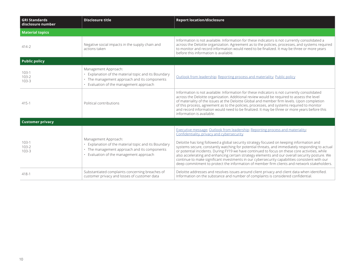| <b>GRI Standards</b><br>disclosure number | <b>Disclosure title</b>                                                                                                                                                 | <b>Report location/disclosure</b>                                                                                                                                                                                                                                                                                                                                                                                                                                                                                                                                                                                                                                                                                                |  |
|-------------------------------------------|-------------------------------------------------------------------------------------------------------------------------------------------------------------------------|----------------------------------------------------------------------------------------------------------------------------------------------------------------------------------------------------------------------------------------------------------------------------------------------------------------------------------------------------------------------------------------------------------------------------------------------------------------------------------------------------------------------------------------------------------------------------------------------------------------------------------------------------------------------------------------------------------------------------------|--|
| <b>Material topics</b>                    |                                                                                                                                                                         |                                                                                                                                                                                                                                                                                                                                                                                                                                                                                                                                                                                                                                                                                                                                  |  |
| $414-2$                                   | Negative social impacts in the supply chain and<br>actions taken                                                                                                        | Information is not available. Information for these indicators is not currently consolidated a<br>across the Deloitte organization. Agreement as to the policies, processes, and systems required<br>to monitor and record information would need to be finalized. It may be three or more years<br>before this information is available.                                                                                                                                                                                                                                                                                                                                                                                        |  |
| <b>Public policy</b>                      |                                                                                                                                                                         |                                                                                                                                                                                                                                                                                                                                                                                                                                                                                                                                                                                                                                                                                                                                  |  |
| $103-1$<br>$103 - 2$<br>$103 - 3$         | Management Approach:<br>• Explanation of the material topic and its Boundary<br>• The management approach and its components<br>· Evaluation of the management approach | Outlook from leadership; Reporting process and materiality; Public policy                                                                                                                                                                                                                                                                                                                                                                                                                                                                                                                                                                                                                                                        |  |
| $415 - 1$                                 | Political contributions                                                                                                                                                 | Information is not available: Information for these indicators is not currently consolidated<br>across the Deloitte organization. Additional review would be required to assess the level<br>of materiality of the issues at the Deloitte Global and member firm levels. Upon completion<br>of this process, agreement as to the policies, processes, and systems required to monitor<br>and record information would need to be finalized. It may be three or more years before this<br>information is available.                                                                                                                                                                                                               |  |
| <b>Customer privacy</b>                   |                                                                                                                                                                         |                                                                                                                                                                                                                                                                                                                                                                                                                                                                                                                                                                                                                                                                                                                                  |  |
| $103-1$<br>$103 - 2$<br>$103 - 3$         | Management Approach:<br>• Explanation of the material topic and its Boundary<br>· The management approach and its components<br>• Evaluation of the management approach | Executive message; Outlook from leadership; Reporting process and materiality;<br>Confidentiality, privacy and cybersecurity<br>Deloitte has long followed a global security strategy focused on keeping information and<br>systems secure, constantly watching for potential threats, and immediately responding to actual<br>or potential incidents. During FY19 we have continued to focus on these core activities, while<br>also accelerating and enhancing certain strategy elements and our overall security posture. We<br>continue to make significant investments in our cybersecurity capabilities consistent with our<br>deep commitment to protect the information of member firm clients and network stakeholders. |  |
| $418-1$                                   | Substantiated complaints concerning breaches of<br>customer privacy and losses of customer data                                                                         | Deloitte addresses and resolves issues around client privacy and client data when identified.<br>Information on the substance and number of complaints is considered confidential.                                                                                                                                                                                                                                                                                                                                                                                                                                                                                                                                               |  |